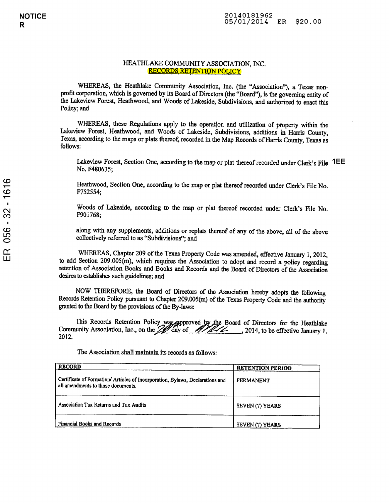## HEATHLAKE COMMUNITY ASSOCIATION, INC. RECORDS RETENTION POLICY

WHEREAS, the Heathlake Community Association, Inc. (the "Association"), <sup>a</sup> Texas non profit corporation, which is governed by its Board of Directors (the "Board"), is the governing entity of the Lakeview Forest, Heathwood, and Woods of Lakeside, Subdivisions, and authorized to enact this Policy; and

WHEREAS, these Regulations apply to the operation and utilization of property within the Lakeview Forest, Heathwood, and Woods of Lakeside, Subdivisions, additions in Harris County, Texas, according to the maps or plats thereof, recorded in the Map Records of Harris County, Texas as follows:

Lakeview Forest, Section One, according to the map or plat thereof recorded under Clerk's File  $\mathsf{1EE}$ No. F480635;

Heathwood, Section One, according to the map or plat thereof recorded under Clerk's File No. F752554;

Woods of Lakeside, according to the map or plat thereof recorded under Clerk's File No. F901768;

along with any supplements, additions or replats thereof of any of the above, all of the above collectively referred to as "Subdivisions"; and

WHEREAS, Chapter <sup>209</sup> of the Texas Property Code was amended, effective January 1, 2012, to add Section 209.005(m), which requires the Association to adopt and record <sup>a</sup> policy regarding retention of Association Books and Books and Records and the Board of Directors of the Association desires to establishes such guidelines; and

NOW THEREFORE, the Board of Directors of the Association hereby adopts the following Records Retention Policy pursuant to Chapter 209.005(m) of the Texas Property Code and the authority granted to the Board by the provisions of the By-laws:

This Records Retention Policy was approved by the Board of Directors for the Heathlake Community Association, Inc., on the  $\frac{1}{2}$  day of  $\frac{1}{2}$  . 2014, to be effective January 1, 2012.

The Association shall maintain its records as follows:

| <b>RECORD</b>                                                                                                       | <b>RETENTION PERIOD</b> |
|---------------------------------------------------------------------------------------------------------------------|-------------------------|
| Certificate of Formation/ Articles of Incorporation, Bylaws, Declarations and<br>all amendments to those documents. | PERMANENT               |
| Association Tax Returns and Tax Audits                                                                              | SEVEN (7) YEARS         |
| Financial Books and Records                                                                                         | SEVEN (7) YEARS         |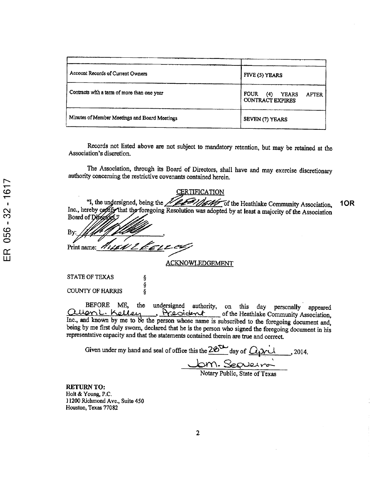| Account Records of Current Owners             | FIVE (5) YEARS                                                                |
|-----------------------------------------------|-------------------------------------------------------------------------------|
| Contracts with a term of more than one year   | <b>FOUR</b><br><b>YEARS</b><br>(4)<br><b>AFTER</b><br><b>CONTRACT EXPIRES</b> |
| Minutes of Member Meetings and Board Meetings | SEVEN (7) YEARS                                                               |

Records not listed above are not subject to mandatory retention, but may be retained at the Association's discretion.

The Association, through its Board of Directors, shall have and may exercise discretionary authority concerning the restrictive covenants contained herein.

CERTIFICATION

| CERTIFICATION                                                                                            |     |
|----------------------------------------------------------------------------------------------------------|-----|
|                                                                                                          | 1OR |
| Inc., hereby confify that the foregoing Resolution was adopted by at least a majority of the Association |     |
| Board of Directors,"                                                                                     |     |
| By:                                                                                                      |     |
|                                                                                                          |     |
| Print name: AUGN & CELECU                                                                                |     |

ACKNOWLEDGEMENT

STATE OF TEXAS COUNTY OF HARRIS

လ<br>(၁) (၁)<br>(၁)

BEFORE ME, the undersigned authority, on this day personally appeared Cluan L. Kelley, President of the Heathlake Community Association, Inc., and known by me to be the person whose name is subscribed to the foregoing document and, being by me first duly sworn, declared that he is the person who signed the foregoing document in his representative capacity and that the statements contained therein are true and correct.

| Given under my hand and seal of office this the $2e^{t}$ day of $Q_t$ $\chi$ d | , 2014. |
|--------------------------------------------------------------------------------|---------|
| Jam-Septeira                                                                   |         |

Notary Public, State of Texas

RETURN TO: Holt & Young, P.C. ] 1200 Richmond Ave., Suite 450 Houston, Texas 77082